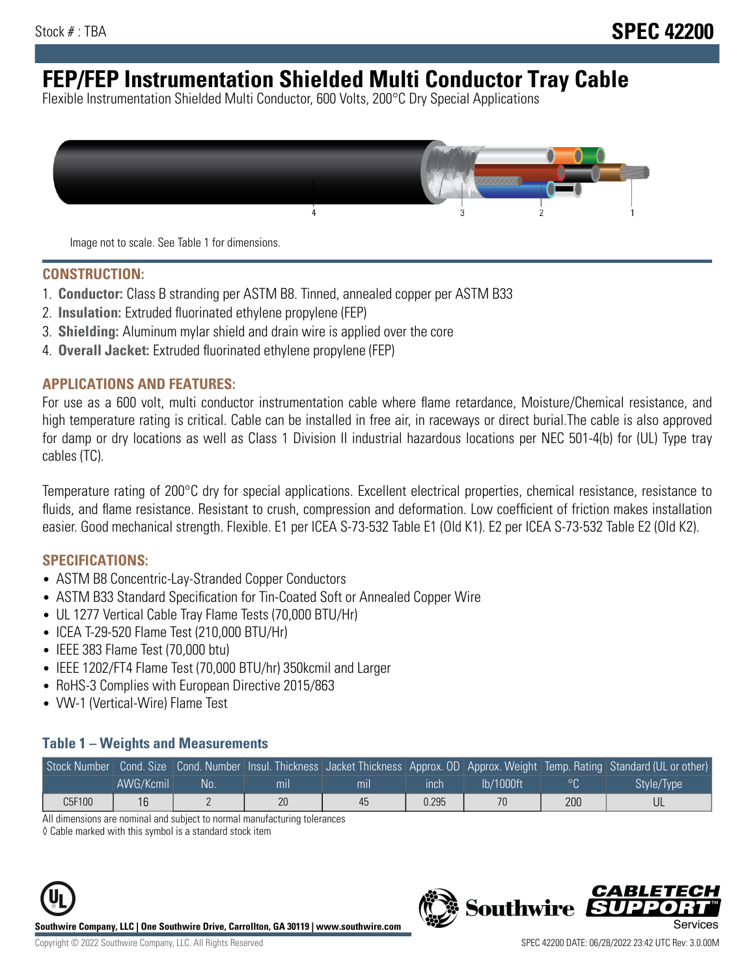# **FEP/FEP Instrumentation Shielded Multi Conductor Tray Cable**

Flexible Instrumentation Shielded Multi Conductor, 600 Volts, 200°C Dry Special Applications



Image not to scale. See Table 1 for dimensions.

#### **CONSTRUCTION:**

- 1. **Conductor:** Class B stranding per ASTM B8. Tinned, annealed copper per ASTM B33
- 2. **Insulation:** Extruded fluorinated ethylene propylene (FEP)
- 3. **Shielding:** Aluminum mylar shield and drain wire is applied over the core
- 4. **Overall Jacket:** Extruded fluorinated ethylene propylene (FEP)

#### **APPLICATIONS AND FEATURES:**

For use as a 600 volt, multi conductor instrumentation cable where flame retardance, Moisture/Chemical resistance, and high temperature rating is critical. Cable can be installed in free air, in raceways or direct burial.The cable is also approved for damp or dry locations as well as Class 1 Division II industrial hazardous locations per NEC 501-4(b) for (UL) Type tray cables (TC).

Temperature rating of 200°C dry for special applications. Excellent electrical properties, chemical resistance, resistance to fluids, and flame resistance. Resistant to crush, compression and deformation. Low coefficient of friction makes installation easier. Good mechanical strength. Flexible. E1 per ICEA S-73-532 Table E1 (Old K1). E2 per ICEA S-73-532 Table E2 (Old K2).

#### **SPECIFICATIONS:**

- ASTM B8 Concentric-Lay-Stranded Copper Conductors
- ASTM B33 Standard Specification for Tin-Coated Soft or Annealed Copper Wire
- UL 1277 Vertical Cable Tray Flame Tests (70,000 BTU/Hr)
- ICEA T-29-520 Flame Test (210,000 BTU/Hr)
- IEEE 383 Flame Test (70,000 btu)
- IEEE 1202/FT4 Flame Test (70,000 BTU/hr) 350kcmil and Larger
- RoHS-3 Complies with European Directive 2015/863
- VW-1 (Vertical-Wire) Flame Test

#### **Table 1 – Weights and Measurements**

|        |           |     |     |     |       |              |     | Stock Number Cond. Size Cond. Number Insul. Thickness Jacket Thickness Approx. OD Approx. Weight Temp. Rating Standard (UL or other) |
|--------|-----------|-----|-----|-----|-------|--------------|-----|--------------------------------------------------------------------------------------------------------------------------------------|
|        | AWG/Kcmil | .No | mil | mıl | ınch  | $lb/1000$ ft |     | Style/Type                                                                                                                           |
| C5F100 | 16        |     | 20  | 45  | 0.295 | 70           | 200 |                                                                                                                                      |

All dimensions are nominal and subject to normal manufacturing tolerances

◊ Cable marked with this symbol is a standard stock item



**Southwire** 

CARLET